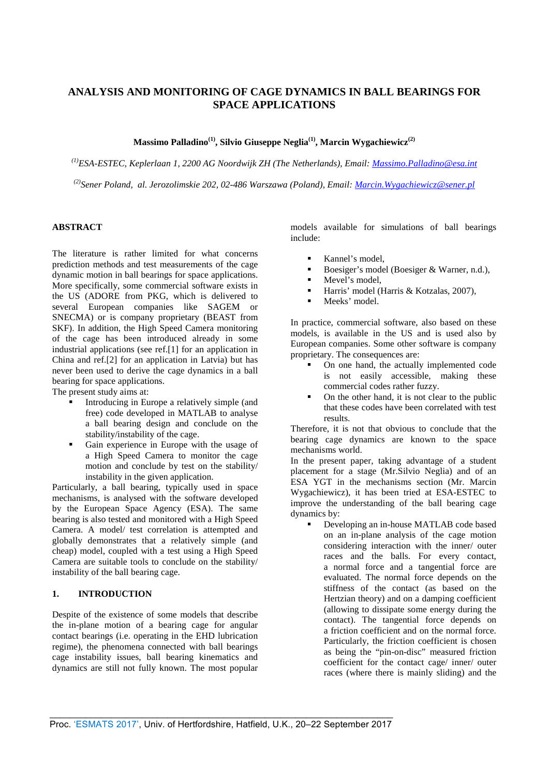# **ANALYSIS AND MONITORING OF CAGE DYNAMICS IN BALL BEARINGS FOR SPACE APPLICATIONS**

## **Massimo Palladino(1), Silvio Giuseppe Neglia(1), Marcin Wygachiewicz(2)**

*(1)ESA-ESTEC, Keplerlaan 1, 2200 AG Noordwijk ZH (The Netherlands), Email: [Massimo.Palladino@esa.int](mailto:Massimo.Palladino@esa.int)*

*(2)Sener Poland, al. Jerozolimskie 202, 02-486 Warszawa (Poland), Email: [Marcin.Wygachiewicz@sener.pl](mailto:Marcin.Wygachiewicz@sener.pl)*

## **ABSTRACT**

The literature is rather limited for what concerns prediction methods and test measurements of the cage dynamic motion in ball bearings for space applications. More specifically, some commercial software exists in the US (ADORE from PKG, which is delivered to several European companies like SAGEM or SNECMA) or is company proprietary (BEAST from SKF). In addition, the High Speed Camera monitoring of the cage has been introduced already in some industrial applications (see ref.[1] for an application in China and ref.[2] for an application in Latvia) but has never been used to derive the cage dynamics in a ball bearing for space applications.

The present study aims at:

- Introducing in Europe a relatively simple (and free) code developed in MATLAB to analyse a ball bearing design and conclude on the stability/instability of the cage.
- Gain experience in Europe with the usage of a High Speed Camera to monitor the cage motion and conclude by test on the stability/ instability in the given application.

Particularly, a ball bearing, typically used in space mechanisms, is analysed with the software developed by the European Space Agency (ESA). The same bearing is also tested and monitored with a High Speed Camera. A model/ test correlation is attempted and globally demonstrates that a relatively simple (and cheap) model, coupled with a test using a High Speed Camera are suitable tools to conclude on the stability/ instability of the ball bearing cage.

## **1. INTRODUCTION**

Despite of the existence of some models that describe the in-plane motion of a bearing cage for angular contact bearings (i.e. operating in the EHD lubrication regime), the phenomena connected with ball bearings cage instability issues, ball bearing kinematics and dynamics are still not fully known. The most popular

models available for simulations of ball bearings include:

- Kannel's model,
- Boesiger's model (Boesiger & Warner, n.d.),
- $M$ evel's model,
- Harris' model (Harris & Kotzalas, 2007),
- Meeks' model.

In practice, commercial software, also based on these models, is available in the US and is used also by European companies. Some other software is company proprietary. The consequences are:

- On one hand, the actually implemented code is not easily accessible, making these commercial codes rather fuzzy.
- On the other hand, it is not clear to the public that these codes have been correlated with test results.

Therefore, it is not that obvious to conclude that the bearing cage dynamics are known to the space mechanisms world.

In the present paper, taking advantage of a student placement for a stage (Mr.Silvio Neglia) and of an ESA YGT in the mechanisms section (Mr. Marcin Wygachiewicz), it has been tried at ESA-ESTEC to improve the understanding of the ball bearing cage dynamics by:

 Developing an in-house MATLAB code based on an in-plane analysis of the cage motion considering interaction with the inner/ outer races and the balls. For every contact, a normal force and a tangential force are evaluated. The normal force depends on the stiffness of the contact (as based on the Hertzian theory) and on a damping coefficient (allowing to dissipate some energy during the contact). The tangential force depends on a friction coefficient and on the normal force. Particularly, the friction coefficient is chosen as being the "pin-on-disc" measured friction coefficient for the contact cage/ inner/ outer races (where there is mainly sliding) and the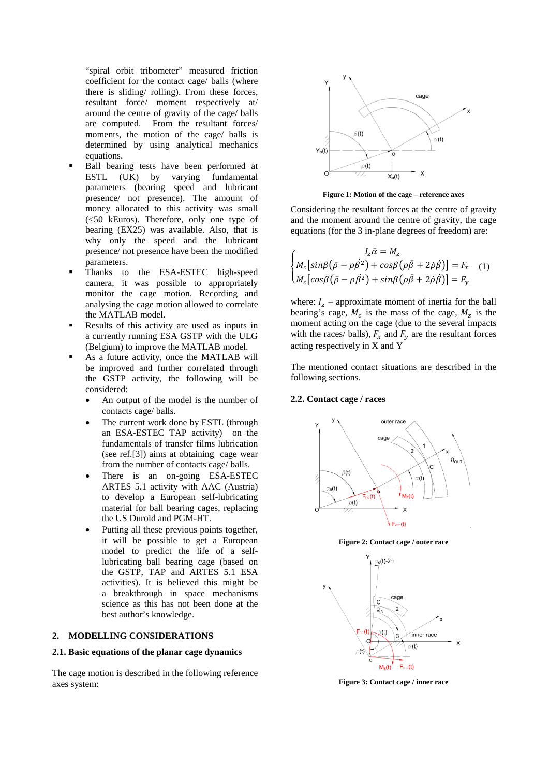"spiral orbit tribometer" measured friction coefficient for the contact cage/ balls (where there is sliding/ rolling). From these forces, resultant force/ moment respectively at/ around the centre of gravity of the cage/ balls are computed. From the resultant forces/ moments, the motion of the cage/ balls is determined by using analytical mechanics equations.

- Ball bearing tests have been performed at ESTL (UK) by varying fundamental parameters (bearing speed and lubricant presence/ not presence). The amount of money allocated to this activity was small (<50 kEuros). Therefore, only one type of bearing (EX25) was available. Also, that is why only the speed and the lubricant presence/ not presence have been the modified parameters.
- Thanks to the ESA-ESTEC high-speed camera, it was possible to appropriately monitor the cage motion. Recording and analysing the cage motion allowed to correlate the MATLAB model.
- Results of this activity are used as inputs in a currently running ESA GSTP with the ULG (Belgium) to improve the MATLAB model.
- As a future activity, once the MATLAB will be improved and further correlated through the GSTP activity, the following will be considered:
	- An output of the model is the number of contacts cage/ balls.
	- The current work done by ESTL (through an ESA-ESTEC TAP activity) on the fundamentals of transfer films lubrication (see ref.[3]) aims at obtaining cage wear from the number of contacts cage/ balls.
	- There is an on-going ESA-ESTEC ARTES 5.1 activity with AAC (Austria) to develop a European self-lubricating material for ball bearing cages, replacing the US Duroid and PGM-HT.
	- Putting all these previous points together, it will be possible to get a European model to predict the life of a selflubricating ball bearing cage (based on the GSTP, TAP and ARTES 5.1 ESA activities). It is believed this might be a breakthrough in space mechanisms science as this has not been done at the best author's knowledge.

#### **2. MODELLING CONSIDERATIONS**

#### **2.1. Basic equations of the planar cage dynamics**

The cage motion is described in the following reference axes system:



**Figure 1: Motion of the cage – reference axes**

Considering the resultant forces at the centre of gravity and the moment around the centre of gravity, the cage equations (for the 3 in-plane degrees of freedom) are:

$$
\begin{cases}\nI_z \ddot{\alpha} = M_z \\
M_c \left[ \sin\beta \left( \ddot{\rho} - \rho \dot{\beta}^2 \right) + \cos\beta \left( \rho \ddot{\beta} + 2 \dot{\rho} \dot{\beta} \right) \right] = F_x \\
M_c \left[ \cos\beta \left( \ddot{\rho} - \rho \dot{\beta}^2 \right) + \sin\beta \left( \rho \ddot{\beta} + 2 \dot{\rho} \dot{\beta} \right) \right] = F_y\n\end{cases} (1)
$$

where:  $I_z$  – approximate moment of inertia for the ball bearing's cage,  $M_c$  is the mass of the cage,  $M_z$  is the moment acting on the cage (due to the several impacts with the races/ balls),  $F_x$  and  $F_y$  are the resultant forces acting respectively in X and Y

The mentioned contact situations are described in the following sections.

## **2.2. Contact cage / races**



**Figure 2: Contact cage / outer race** 



**Figure 3: Contact cage / inner race**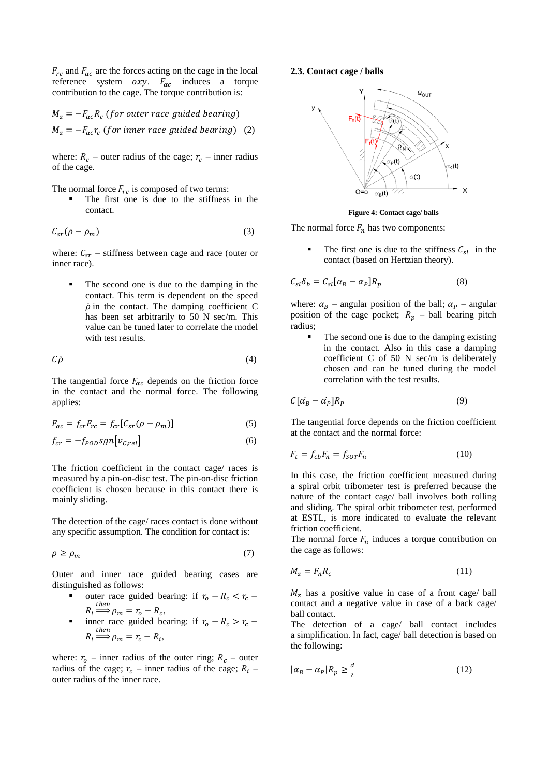$F_{rc}$  and  $F_{\alpha c}$  are the forces acting on the cage in the local reference system  $oxy$ .  $F_{ac}$  induces a torque contribution to the cage. The torque contribution is:

 $M_z = -F_{ac} R_c$  (for outer race guided bearing)  $M_z = -F_{ac} r_c$  (for inner race guided bearing) (2)

where:  $R_c$  – outer radius of the cage;  $r_c$  – inner radius of the cage.

The normal force  $F_{rc}$  is composed of two terms:

 The first one is due to the stiffness in the contact.

$$
C_{sr}(\rho - \rho_m) \tag{3}
$$

where:  $C_{sr}$  – stiffness between cage and race (outer or inner race).

 The second one is due to the damping in the contact. This term is dependent on the speed  $\dot{\rho}$  in the contact. The damping coefficient C has been set arbitrarily to 50 N sec/m. This value can be tuned later to correlate the model with test results.

$$
C\dot{\rho} \tag{4}
$$

The tangential force  $F_{\alpha c}$  depends on the friction force in the contact and the normal force. The following applies:

$$
F_{\alpha c} = f_{cr}F_{rc} = f_{cr}[C_{sr}(\rho - \rho_m)] \tag{5}
$$

$$
f_{cr} = -f_{POD}sgn[v_{C,rel}]
$$
\n(6)

The friction coefficient in the contact cage/ races is measured by a pin-on-disc test. The pin-on-disc friction coefficient is chosen because in this contact there is mainly sliding.

The detection of the cage/ races contact is done without any specific assumption. The condition for contact is:

$$
\rho \ge \rho_m \tag{7}
$$

Outer and inner race guided bearing cases are distinguished as follows:

- outer race guided bearing: if  $r_o R_c < r_c$  $R_i \stackrel{then}{\Longrightarrow} \rho_m = r_o - R_c,$
- **inner race guided bearing: if**  $r_o R_c > r_c$  $R_i \stackrel{then}{\Longrightarrow} \rho_m = r_c - R_i,$

where:  $r_o$  – inner radius of the outer ring;  $R_c$  – outer radius of the cage;  $r_c$  – inner radius of the cage;  $R_i$  – outer radius of the inner race.

#### **2.3. Contact cage / balls**



**Figure 4: Contact cage/ balls**

The normal force  $F_n$  has two components:

The first one is due to the stiffness  $C_{sl}$  in the contact (based on Hertzian theory).

$$
C_{sl}\delta_b = C_{sl}[\alpha_B - \alpha_P]R_p \tag{8}
$$

where:  $\alpha_B$  – angular position of the ball;  $\alpha_P$  – angular position of the cage pocket;  $R_p$  – ball bearing pitch radius;

 The second one is due to the damping existing in the contact. Also in this case a damping coefficient C of 50 N sec/m is deliberately chosen and can be tuned during the model correlation with the test results.

$$
C[\dot{\alpha_B} - \dot{\alpha_P}]R_P \tag{9}
$$

The tangential force depends on the friction coefficient at the contact and the normal force:

$$
F_t = f_{cb} F_n = f_{SOT} F_n \tag{10}
$$

In this case, the friction coefficient measured during a spiral orbit tribometer test is preferred because the nature of the contact cage/ ball involves both rolling and sliding. The spiral orbit tribometer test, performed at ESTL, is more indicated to evaluate the relevant friction coefficient.

The normal force  $F_n$  induces a torque contribution on the cage as follows:

$$
M_z = F_n R_c \tag{11}
$$

 $M<sub>z</sub>$  has a positive value in case of a front cage/ ball contact and a negative value in case of a back cage/ ball contact.

The detection of a cage/ ball contact includes a simplification. In fact, cage/ ball detection is based on the following:

$$
|\alpha_B - \alpha_P| R_p \ge \frac{d}{2} \tag{12}
$$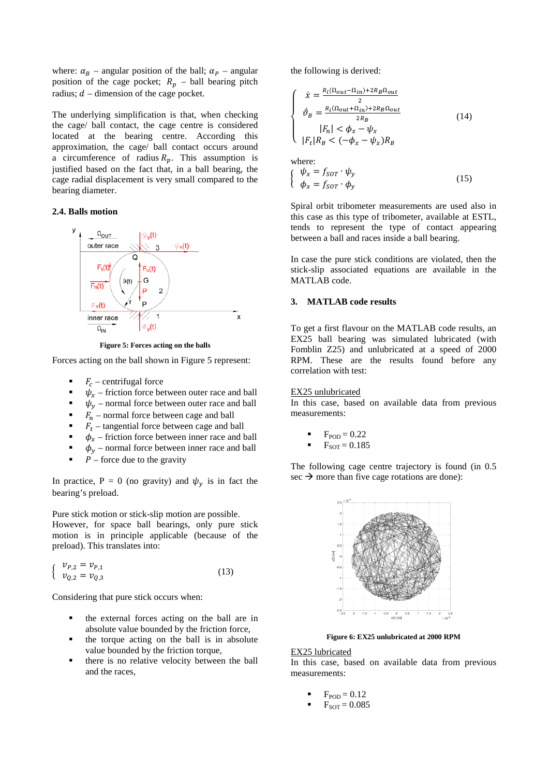where:  $\alpha_B$  – angular position of the ball;  $\alpha_P$  – angular position of the cage pocket;  $R_p$  – ball bearing pitch radius;  $d$  – dimension of the cage pocket.

The underlying simplification is that, when checking the cage/ ball contact, the cage centre is considered located at the bearing centre. According this approximation, the cage/ ball contact occurs around a circumference of radius  $R_p$ . This assumption is justified based on the fact that, in a ball bearing, the cage radial displacement is very small compared to the bearing diameter.

#### **2.4. Balls motion**



**Figure 5: Forces acting on the balls**

Forces acting on the ball shown in Figure 5 represent:

- $F_c$  centrifugal force
- $\psi_x$  friction force between outer race and ball<br> $\psi_y$  normal force between outer race and ball
- $\psi_y$  normal force between outer race and ball<br>  $\vec{F}_y$  normal force between cage and ball
- $F_n$  normal force between cage and ball<br> $F_n$  tangential force between cage and b
- $\blacksquare$   $F_t$  tangential force between cage and ball<br> $\blacksquare$   $\blacksquare$   $\blacksquare$   $\blacksquare$  fiction force between inner race and l
- 
- $\phi_x$  friction force between inner race and ball<br>  $\phi_y$  normal force between inner race and ball  $\phi_y$  – normal force between inner race and ball<br> $\phi_y$  – force due to the gravity
- $P$  force due to the gravity

In practice, P = 0 (no gravity) and  $\psi_y$  is in fact the bearing's preload.

Pure stick motion or stick-slip motion are possible. However, for space ball bearings, only pure stick motion is in principle applicable (because of the preload). This translates into:

$$
\begin{cases} v_{P,2} = v_{P,1} \\ v_{Q,2} = v_{Q,3} \end{cases}
$$
 (13)

Considering that pure stick occurs when:

- the external forces acting on the ball are in absolute value bounded by the friction force,
- the torque acting on the ball is in absolute value bounded by the friction torque,
- there is no relative velocity between the ball and the races,

the following is derived:

$$
\begin{cases}\n\dot{x} = \frac{R_i(\Omega_{out} - \Omega_{in}) + 2R_B \Omega_{out}}{2} \\
\dot{\vartheta}_B = \frac{R_i(\Omega_{out} + \Omega_{in}) + 2R_B \Omega_{out}}{2R_B} \\
|F_n| < \phi_x - \psi_x \\
|F_t| R_B < (-\phi_x - \psi_x) R_B\n\end{cases} \tag{14}
$$

where:  $\left\{\begin{array}{c} \psi_x = J_{SOT} \cdot \psi_y \\ \phi_x = f_{SOT} \cdot \phi_y \end{array}\right.$ (15)

Spiral orbit tribometer measurements are used also in this case as this type of tribometer, available at ESTL, tends to represent the type of contact appearing between a ball and races inside a ball bearing.

In case the pure stick conditions are violated, then the stick-slip associated equations are available in the MATLAB code.

#### **3. MATLAB code results**

To get a first flavour on the MATLAB code results, an EX25 ball bearing was simulated lubricated (with Fomblin Z25) and unlubricated at a speed of 2000 RPM. These are the results found before any correlation with test:

#### EX25 unlubricated

In this case, based on available data from previous measurements:

- $F<sub>POD</sub> = 0.22$
- $F_{SOT} = 0.185$

The following cage centre trajectory is found (in 0.5 sec  $\rightarrow$  more than five cage rotations are done):



**Figure 6: EX25 unlubricated at 2000 RPM**

#### EX25 lubricated

In this case, based on available data from previous measurements:

- $F<sub>POD</sub> = 0.12$
- $F_{SOT} = 0.085$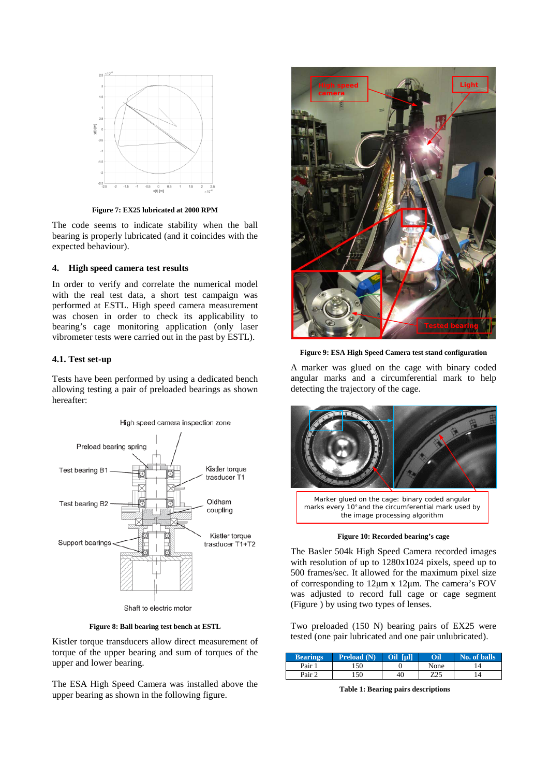

**Figure 7: EX25 lubricated at 2000 RPM**

The code seems to indicate stability when the ball bearing is properly lubricated (and it coincides with the expected behaviour).

## **4. High speed camera test results**

In order to verify and correlate the numerical model with the real test data, a short test campaign was performed at ESTL. High speed camera measurement was chosen in order to check its applicability to bearing's cage monitoring application (only laser vibrometer tests were carried out in the past by ESTL).

#### **4.1. Test set-up**

Tests have been performed by using a dedicated bench allowing testing a pair of preloaded bearings as shown hereafter:



**Figure 8: Ball bearing test bench at ESTL**

Kistler torque transducers allow direct measurement of torque of the upper bearing and sum of torques of the upper and lower bearing.

The ESA High Speed Camera was installed above the upper bearing as shown in the following figure.



**Figure 9: ESA High Speed Camera test stand configuration**

A marker was glued on the cage with binary coded angular marks and a circumferential mark to help detecting the trajectory of the cage.



**Figure 10: Recorded bearing's cage**

<span id="page-4-0"></span>The Basler 504k High Speed Camera recorded images with resolution of up to 1280x1024 pixels, speed up to 500 frames/sec. It allowed for the maximum pixel size of corresponding to 12μm x 12μm. The camera's FOV was adjusted to record full cage or cage segment [\(Figure \)](#page-4-0) by using two types of lenses.

Two preloaded (150 N) bearing pairs of EX25 were tested (one pair lubricated and one pair unlubricated).

| <b>Bearings</b> | <b>Preload</b> (N) | full<br>Oil | Oil  | No. of balls |
|-----------------|--------------------|-------------|------|--------------|
| Pair 1          | .50                |             | None |              |
| Pair 2          | 150                | 40          | Z25  |              |

**Table 1: Bearing pairs descriptions**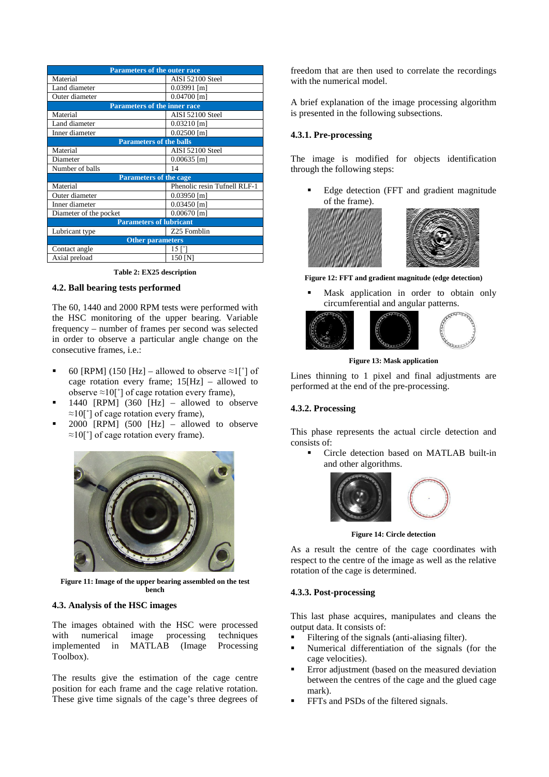| <b>Parameters of the outer race</b> |                              |  |  |  |
|-------------------------------------|------------------------------|--|--|--|
| Material                            | AISI 52100 Steel             |  |  |  |
| Land diameter                       | $0.03991$ [m]                |  |  |  |
| Outer diameter                      | $0.04700$ [m]                |  |  |  |
| <b>Parameters of the inner race</b> |                              |  |  |  |
| Material                            | AISI 52100 Steel             |  |  |  |
| Land diameter                       | $0.03210$ [m]                |  |  |  |
| Inner diameter                      | $0.02500$ [m]                |  |  |  |
| <b>Parameters of the balls</b>      |                              |  |  |  |
| Material                            | AISI 52100 Steel             |  |  |  |
| Diameter                            | $0.00635$ [m]                |  |  |  |
| Number of balls                     | 14                           |  |  |  |
| <b>Parameters of the cage</b>       |                              |  |  |  |
| Material                            | Phenolic resin Tufnell RLF-1 |  |  |  |
| Outer diameter                      | $0.03950$ [m]                |  |  |  |
| Inner diameter                      | $0.03450$ [m]                |  |  |  |
| Diameter of the pocket              | $0.00670$ [m]                |  |  |  |
| <b>Parameters of lubricant</b>      |                              |  |  |  |
| Lubricant type                      | Z25 Fomblin                  |  |  |  |
| <b>Other parameters</b>             |                              |  |  |  |
| Contact angle                       | 15 I                         |  |  |  |
| Axial preload                       | 150 JN                       |  |  |  |

**Table 2: EX25 description**

## **4.2. Ball bearing tests performed**

The 60, 1440 and 2000 RPM tests were performed with the HSC monitoring of the upper bearing. Variable frequency – number of frames per second was selected in order to observe a particular angle change on the consecutive frames, i.e.:

- 60 [RPM] (150 [Hz] allowed to observe  $\approx 1$ [°] of cage rotation every frame; 15[Hz] – allowed to observe  $\approx 10$ [°] of cage rotation every frame),
- 1440 [RPM] (360 [Hz] allowed to observe ≈10[˚] of cage rotation every frame),
- 2000 [RPM] (500 [Hz] allowed to observe  $\approx 10$ [°] of cage rotation every frame).



**Figure 11: Image of the upper bearing assembled on the test bench** 

#### **4.3. Analysis of the HSC images**

The images obtained with the HSC were processed with numerical image processing techniques implemented in MATLAB (Image Processing Toolbox).

The results give the estimation of the cage centre position for each frame and the cage relative rotation. These give time signals of the cage's three degrees of freedom that are then used to correlate the recordings with the numerical model.

A brief explanation of the image processing algorithm is presented in the following subsections.

## **4.3.1. Pre-processing**

The image is modified for objects identification through the following steps:

 Edge detection (FFT and gradient magnitude of the frame).



**Figure 12: FFT and gradient magnitude (edge detection)** 

 Mask application in order to obtain only circumferential and angular patterns.



**Figure 13: Mask application**

Lines thinning to 1 pixel and final adjustments are performed at the end of the pre-processing.

## **4.3.2. Processing**

This phase represents the actual circle detection and consists of:

 Circle detection based on MATLAB built-in and other algorithms.



**Figure 14: Circle detection**

As a result the centre of the cage coordinates with respect to the centre of the image as well as the relative rotation of the cage is determined.

## **4.3.3. Post-processing**

This last phase acquires, manipulates and cleans the output data. It consists of:

- Filtering of the signals (anti-aliasing filter).
- Numerical differentiation of the signals (for the cage velocities).
- Error adjustment (based on the measured deviation between the centres of the cage and the glued cage mark).
- FFTs and PSDs of the filtered signals.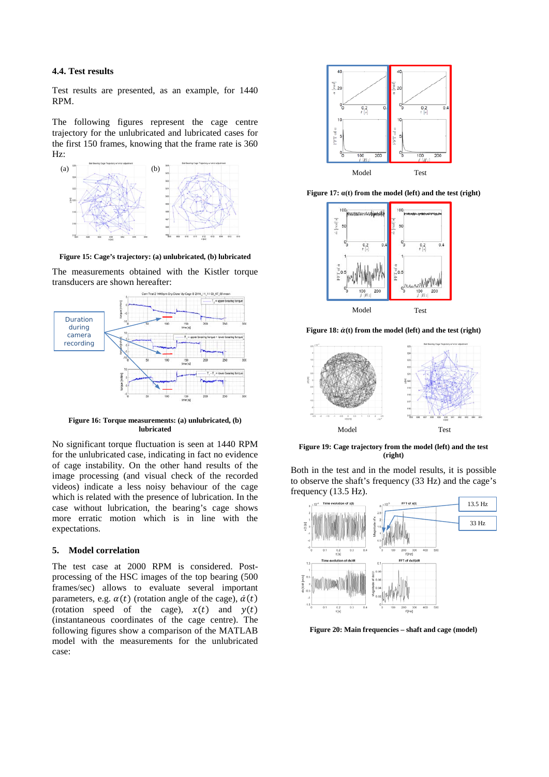## **4.4. Test results**

Test results are presented, as an example, for 1440 RPM.

The following figures represent the cage centre trajectory for the unlubricated and lubricated cases for the first 150 frames, knowing that the frame rate is 360 Hz:



**Figure 15: Cage's trajectory: (a) unlubricated, (b) lubricated**

The measurements obtained with the Kistler torque transducers are shown hereafter:



**Figure 16: Torque measurements: (a) unlubricated, (b) lubricated**

No significant torque fluctuation is seen at 1440 RPM for the unlubricated case, indicating in fact no evidence of cage instability. On the other hand results of the image processing (and visual check of the recorded videos) indicate a less noisy behaviour of the cage which is related with the presence of lubrication. In the case without lubrication, the bearing's cage shows more erratic motion which is in line with the expectations.

#### **5. Model correlation**

The test case at 2000 RPM is considered. Postprocessing of the HSC images of the top bearing (500 frames/sec) allows to evaluate several important parameters, e.g.  $\alpha(t)$  (rotation angle of the cage),  $\dot{\alpha}(t)$ (rotation speed of the cage),  $x(t)$  and  $y(t)$ (instantaneous coordinates of the cage centre). The following figures show a comparison of the MATLAB model with the measurements for the unlubricated case:



**Figure 17: α(t) from the model (left) and the test (right)**



Figure 18:  $\dot{\alpha}$ (t) from the model (left) and the test (right)



**Figure 19: Cage trajectory from the model (left) and the test (right)**

Both in the test and in the model results, it is possible to observe the shaft's frequency (33 Hz) and the cage's frequency (13.5 Hz).



**Figure 20: Main frequencies – shaft and cage (model)**